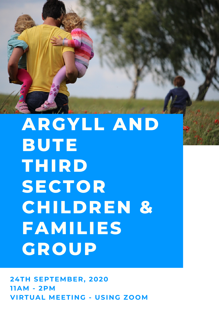

## **ARGYLL AND BUTE THIRD SECTOR CHILDREN & FAMILIES GROUP**

**24TH SEPTEMBER, 2020 11AM - 2PM VIRTUAL MEETING - USING ZOOM**